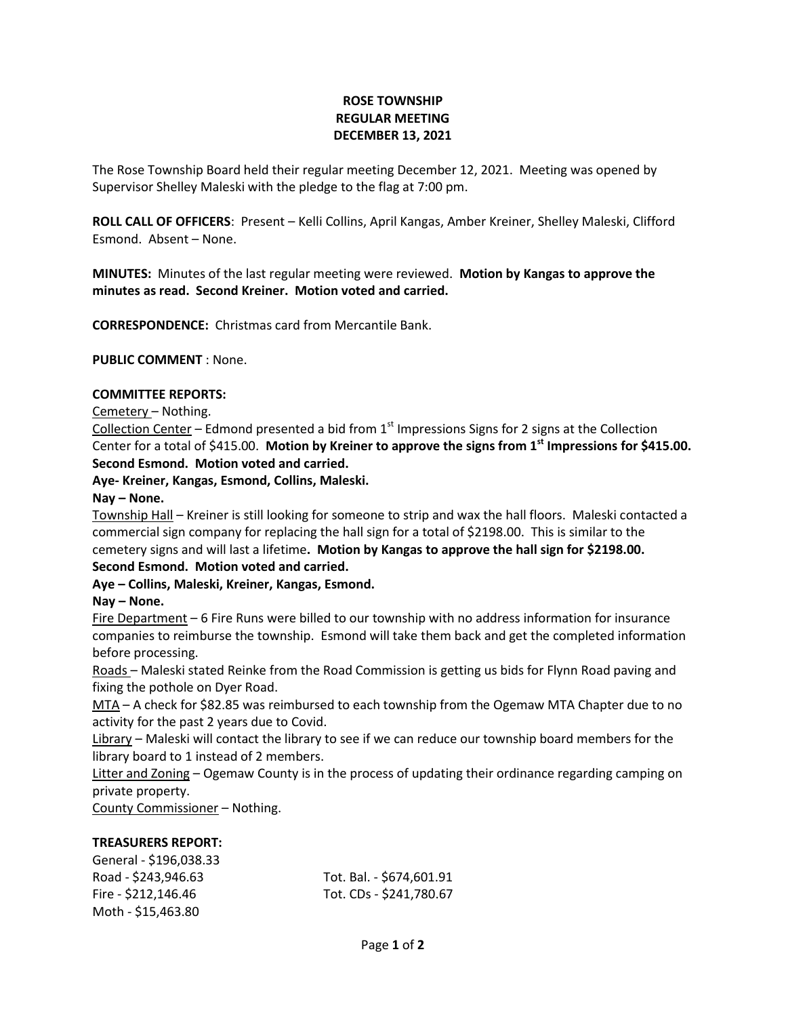# **ROSE TOWNSHIP REGULAR MEETING DECEMBER 13, 2021**

The Rose Township Board held their regular meeting December 12, 2021. Meeting was opened by Supervisor Shelley Maleski with the pledge to the flag at 7:00 pm.

**ROLL CALL OF OFFICERS**: Present – Kelli Collins, April Kangas, Amber Kreiner, Shelley Maleski, Clifford Esmond. Absent – None.

**MINUTES:** Minutes of the last regular meeting were reviewed. **Motion by Kangas to approve the minutes as read. Second Kreiner. Motion voted and carried.**

**CORRESPONDENCE:** Christmas card from Mercantile Bank.

**PUBLIC COMMENT** : None.

### **COMMITTEE REPORTS:**

Cemetery – Nothing.

Collection Center – Edmond presented a bid from  $1<sup>st</sup>$  Impressions Signs for 2 signs at the Collection Center for a total of \$415.00. **Motion by Kreiner to approve the signs from 1st Impressions for \$415.00. Second Esmond. Motion voted and carried.**

### **Aye- Kreiner, Kangas, Esmond, Collins, Maleski.**

#### **Nay – None.**

Township Hall – Kreiner is still looking for someone to strip and wax the hall floors. Maleski contacted a commercial sign company for replacing the hall sign for a total of \$2198.00. This is similar to the cemetery signs and will last a lifetime**. Motion by Kangas to approve the hall sign for \$2198.00. Second Esmond. Motion voted and carried.**

# **Aye – Collins, Maleski, Kreiner, Kangas, Esmond.**

# **Nay – None.**

Fire Department – 6 Fire Runs were billed to our township with no address information for insurance companies to reimburse the township. Esmond will take them back and get the completed information before processing.

Roads – Maleski stated Reinke from the Road Commission is getting us bids for Flynn Road paving and fixing the pothole on Dyer Road.

MTA – A check for \$82.85 was reimbursed to each township from the Ogemaw MTA Chapter due to no activity for the past 2 years due to Covid.

Library – Maleski will contact the library to see if we can reduce our township board members for the library board to 1 instead of 2 members.

Litter and Zoning – Ogemaw County is in the process of updating their ordinance regarding camping on private property.

County Commissioner – Nothing.

### **TREASURERS REPORT:**

| General - \$196,038.33 |                          |
|------------------------|--------------------------|
| Road - \$243,946.63    | Tot. Bal. - \$674,601.91 |
| Fire - \$212,146.46    | Tot. CDs - \$241,780.67  |
| Moth - \$15,463.80     |                          |